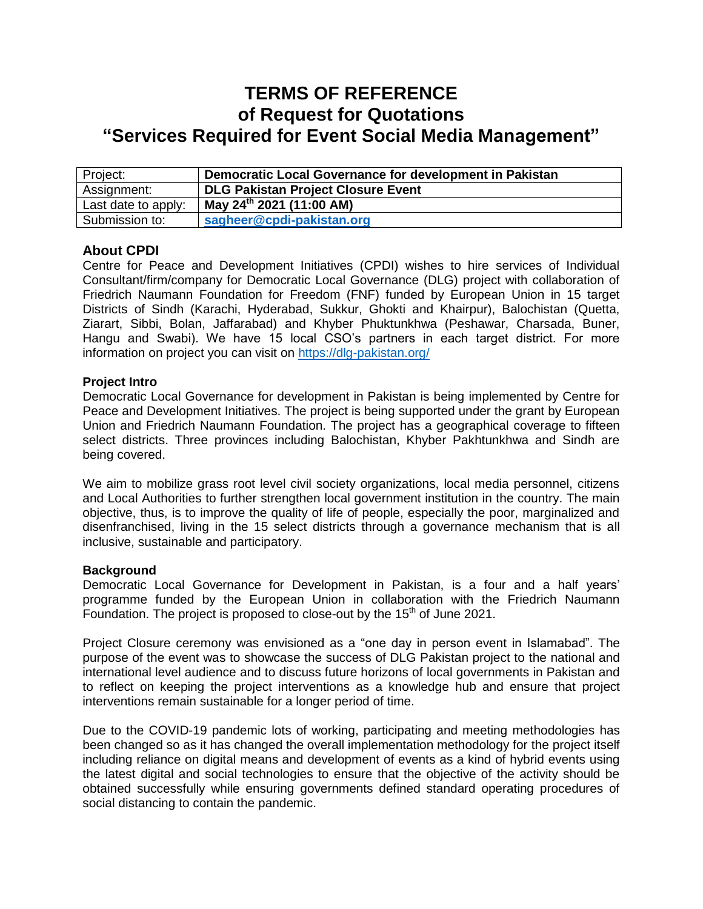# **TERMS OF REFERENCE of Request for Quotations "Services Required for Event Social Media Management"**

| Project:            | Democratic Local Governance for development in Pakistan |
|---------------------|---------------------------------------------------------|
| Assignment:         | <b>DLG Pakistan Project Closure Event</b>               |
| Last date to apply: | May 24 <sup>th</sup> 2021 (11:00 AM)                    |
| Submission to:      | sagheer@cpdi-pakistan.org                               |

## **About CPDI**

Centre for Peace and Development Initiatives (CPDI) wishes to hire services of Individual Consultant/firm/company for Democratic Local Governance (DLG) project with collaboration of Friedrich Naumann Foundation for Freedom (FNF) funded by European Union in 15 target Districts of Sindh (Karachi, Hyderabad, Sukkur, Ghokti and Khairpur), Balochistan (Quetta, Ziarart, Sibbi, Bolan, Jaffarabad) and Khyber Phuktunkhwa (Peshawar, Charsada, Buner, Hangu and Swabi). We have 15 local CSO's partners in each target district. For more information on project you can visit on<https://dlg-pakistan.org/>

## **Project Intro**

Democratic Local Governance for development in Pakistan is being implemented by Centre for Peace and Development Initiatives. The project is being supported under the grant by European Union and Friedrich Naumann Foundation. The project has a geographical coverage to fifteen select districts. Three provinces including Balochistan, Khyber Pakhtunkhwa and Sindh are being covered.

We aim to mobilize grass root level civil society organizations, local media personnel, citizens and Local Authorities to further strengthen local government institution in the country. The main objective, thus, is to improve the quality of life of people, especially the poor, marginalized and disenfranchised, living in the 15 select districts through a governance mechanism that is all inclusive, sustainable and participatory.

## **Background**

Democratic Local Governance for Development in Pakistan, is a four and a half years' programme funded by the European Union in collaboration with the Friedrich Naumann Foundation. The project is proposed to close-out by the  $15<sup>th</sup>$  of June 2021.

Project Closure ceremony was envisioned as a "one day in person event in Islamabad". The purpose of the event was to showcase the success of DLG Pakistan project to the national and international level audience and to discuss future horizons of local governments in Pakistan and to reflect on keeping the project interventions as a knowledge hub and ensure that project interventions remain sustainable for a longer period of time.

Due to the COVID-19 pandemic lots of working, participating and meeting methodologies has been changed so as it has changed the overall implementation methodology for the project itself including reliance on digital means and development of events as a kind of hybrid events using the latest digital and social technologies to ensure that the objective of the activity should be obtained successfully while ensuring governments defined standard operating procedures of social distancing to contain the pandemic.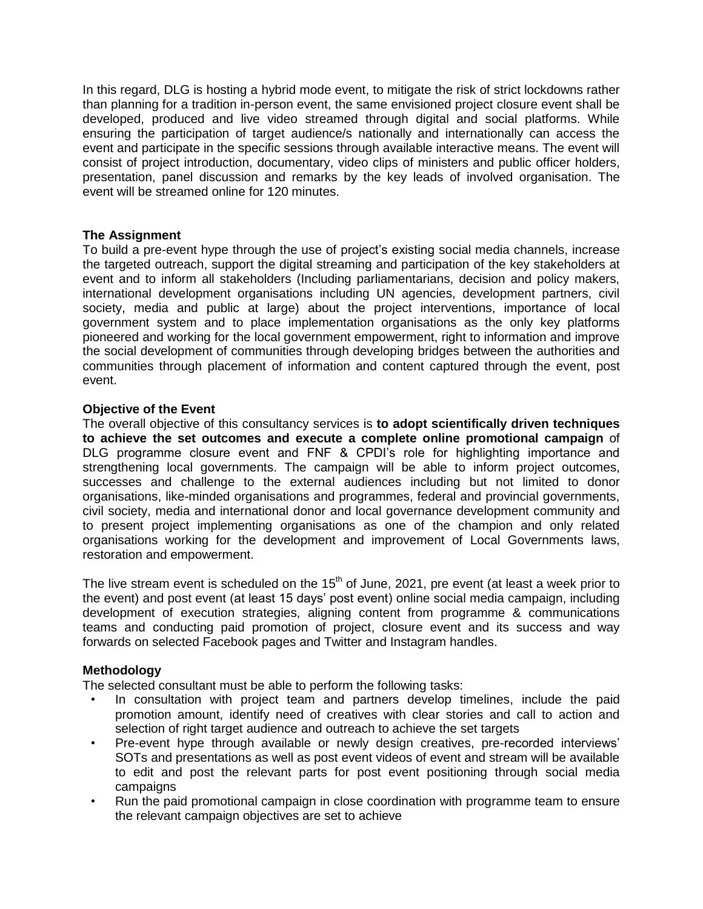In this regard, DLG is hosting a hybrid mode event, to mitigate the risk of strict lockdowns rather than planning for a tradition in-person event, the same envisioned project closure event shall be developed, produced and live video streamed through digital and social platforms. While ensuring the participation of target audience/s nationally and internationally can access the event and participate in the specific sessions through available interactive means. The event will consist of project introduction, documentary, video clips of ministers and public officer holders, presentation, panel discussion and remarks by the key leads of involved organisation. The event will be streamed online for 120 minutes.

#### **The Assignment**

To build a pre-event hype through the use of project's existing social media channels, increase the targeted outreach, support the digital streaming and participation of the key stakeholders at event and to inform all stakeholders (Including parliamentarians, decision and policy makers, international development organisations including UN agencies, development partners, civil society, media and public at large) about the project interventions, importance of local government system and to place implementation organisations as the only key platforms pioneered and working for the local government empowerment, right to information and improve the social development of communities through developing bridges between the authorities and communities through placement of information and content captured through the event, post event.

#### **Objective of the Event**

The overall objective of this consultancy services is **to adopt scientifically driven techniques to achieve the set outcomes and execute a complete online promotional campaign** of DLG programme closure event and FNF & CPDI's role for highlighting importance and strengthening local governments. The campaign will be able to inform project outcomes, successes and challenge to the external audiences including but not limited to donor organisations, like-minded organisations and programmes, federal and provincial governments, civil society, media and international donor and local governance development community and to present project implementing organisations as one of the champion and only related organisations working for the development and improvement of Local Governments laws, restoration and empowerment.

The live stream event is scheduled on the  $15<sup>th</sup>$  of June, 2021, pre event (at least a week prior to the event) and post event (at least 15 days' post event) online social media campaign, including development of execution strategies, aligning content from programme & communications teams and conducting paid promotion of project, closure event and its success and way forwards on selected Facebook pages and Twitter and Instagram handles.

## **Methodology**

The selected consultant must be able to perform the following tasks:

- In consultation with project team and partners develop timelines, include the paid promotion amount, identify need of creatives with clear stories and call to action and selection of right target audience and outreach to achieve the set targets
- Pre-event hype through available or newly design creatives, pre-recorded interviews' SOTs and presentations as well as post event videos of event and stream will be available to edit and post the relevant parts for post event positioning through social media campaigns
- Run the paid promotional campaign in close coordination with programme team to ensure the relevant campaign objectives are set to achieve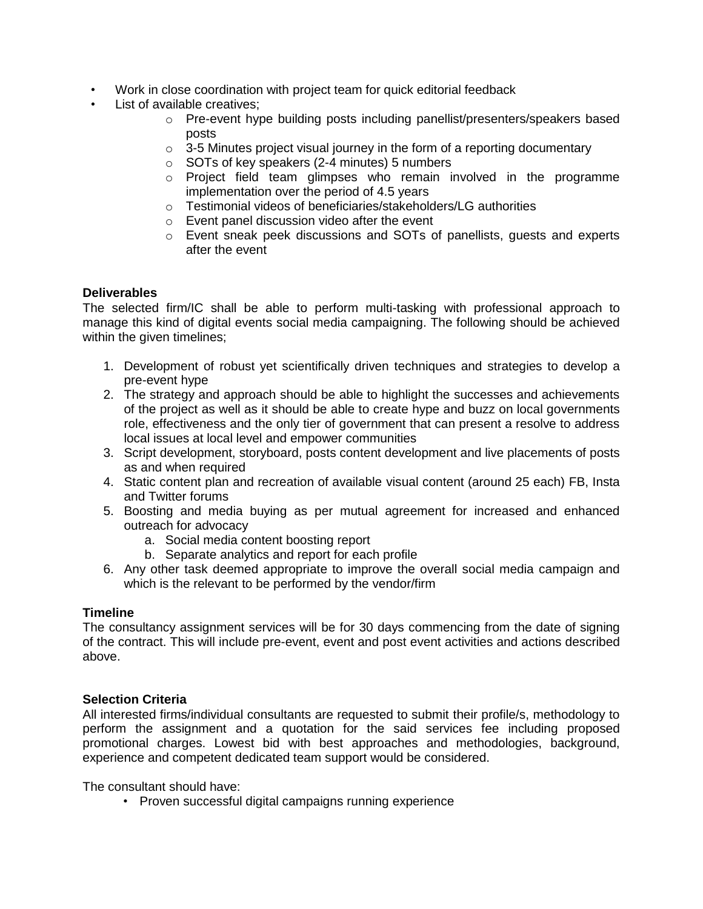- Work in close coordination with project team for quick editorial feedback
- List of available creatives:
	- o Pre-event hype building posts including panellist/presenters/speakers based posts
	- o 3-5 Minutes project visual journey in the form of a reporting documentary
	- o SOTs of key speakers (2-4 minutes) 5 numbers
	- o Project field team glimpses who remain involved in the programme implementation over the period of 4.5 years
	- o Testimonial videos of beneficiaries/stakeholders/LG authorities
	- o Event panel discussion video after the event
	- o Event sneak peek discussions and SOTs of panellists, guests and experts after the event

## **Deliverables**

The selected firm/IC shall be able to perform multi-tasking with professional approach to manage this kind of digital events social media campaigning. The following should be achieved within the given timelines;

- 1. Development of robust yet scientifically driven techniques and strategies to develop a pre-event hype
- 2. The strategy and approach should be able to highlight the successes and achievements of the project as well as it should be able to create hype and buzz on local governments role, effectiveness and the only tier of government that can present a resolve to address local issues at local level and empower communities
- 3. Script development, storyboard, posts content development and live placements of posts as and when required
- 4. Static content plan and recreation of available visual content (around 25 each) FB, Insta and Twitter forums
- 5. Boosting and media buying as per mutual agreement for increased and enhanced outreach for advocacy
	- a. Social media content boosting report
	- b. Separate analytics and report for each profile
- 6. Any other task deemed appropriate to improve the overall social media campaign and which is the relevant to be performed by the vendor/firm

## **Timeline**

The consultancy assignment services will be for 30 days commencing from the date of signing of the contract. This will include pre-event, event and post event activities and actions described above.

## **Selection Criteria**

All interested firms/individual consultants are requested to submit their profile/s, methodology to perform the assignment and a quotation for the said services fee including proposed promotional charges. Lowest bid with best approaches and methodologies, background, experience and competent dedicated team support would be considered.

The consultant should have:

• Proven successful digital campaigns running experience